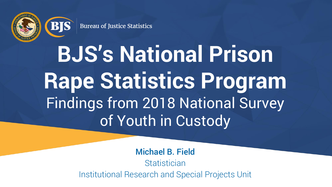

**BIS** 

**Bureau of Justice Statistics** 

# **BJS's National Prison Rape Statistics Program** Findings from 2018 National Survey of Youth in Custody

Michael B. Field **Statistician** Institutional Research and Special Projects Unit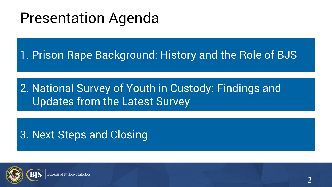#### Presentation Agenda

1. Prison Rape Background: History and the Role of BJS

#### 2. National Survey of Youth in Custody: Findings and Updates from the Latest Survey

3. Next Steps and Closing

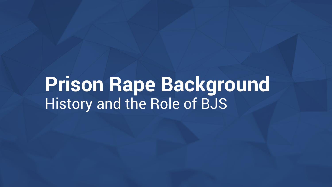#### **Prison Rape Background** History and the Role of BJS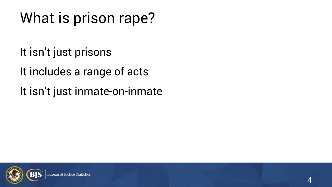#### What is prison rape?

It isn't just prisons

It includes a range of acts

It isn't just inmate-on-inmate

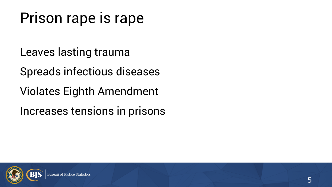#### Prison rape is rape

Leaves lasting trauma

Spreads infectious diseases

Violates Eighth Amendment

Increases tensions in prisons

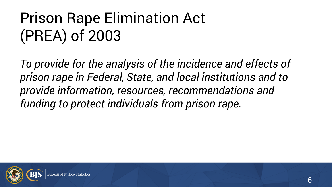#### Prison Rape Elimination Act (PREA) of 2003

*To provide for the analysis of the incidence and effects of prison rape in Federal, State, and local institutions and to provide information, resources, recommendations and funding to protect individuals from prison rape.*

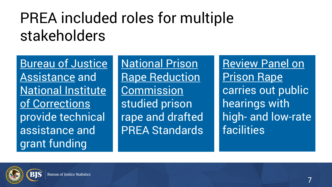#### PREA included roles for multiple stakeholders

Bureau of Justice Assistance and National Institute of Corrections provide technical assistance and grant funding

National Prison **Rape Reduction Commission** studied prison rape and drafted PREA Standards

Review Panel on Prison Rape carries out public hearings with high- and low-rate facilities

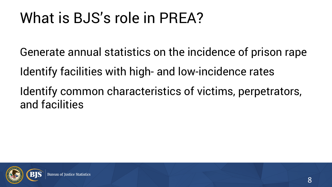#### What is BJS's role in PREA?

Generate annual statistics on the incidence of prison rape

Identify facilities with high- and low-incidence rates

Identify common characteristics of victims, perpetrators, and facilities

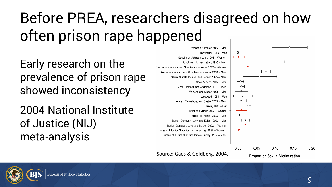#### Before PREA, researchers disagreed on how often prison rape happened

Early research on the prevalence of prison rape showed inconsistency

2004 National Institute of Justice (NIJ) meta-analysis



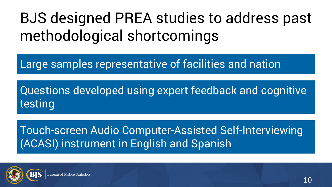#### BJS designed PREA studies to address past methodological shortcomings

Large samples representative of facilities and nation

Questions developed using expert feedback and cognitive testing

Touch-screen Audio Computer-Assisted Self-Interviewing (ACASI) instrument in English and Spanish

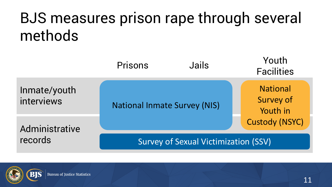#### BJS measures prison rape through several methods



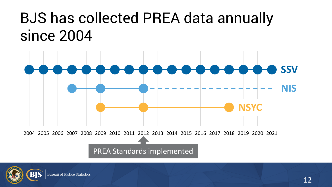#### BJS has collected PREA data annually since 2004



2004 2005 2006 2007 2008 2009 2010 2011 2012 2013 2014 2015 2016 2017 2018 2019 2020 2021

PREA Standards implemented

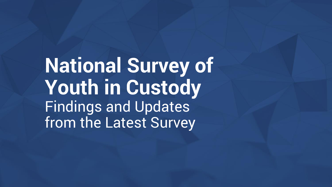**National Survey of Youth in Custody** Findings and Updates from the Latest Survey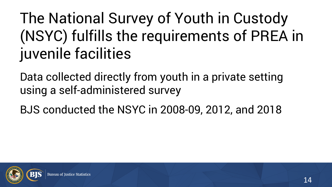#### The National Survey of Youth in Custody (NSYC) fulfills the requirements of PREA in juvenile facilities

Data collected directly from youth in a private setting using a self-administered survey

BJS conducted the NSYC in 2008-09, 2012, and 2018

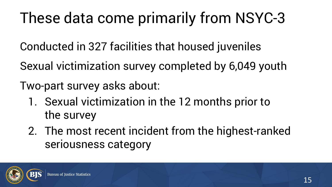#### These data come primarily from NSYC-3

Conducted in 327 facilities that housed juveniles

Sexual victimization survey completed by 6,049 youth

Two-part survey asks about:

- 1. Sexual victimization in the 12 months prior to the survey
- 2. The most recent incident from the highest-ranked seriousness category

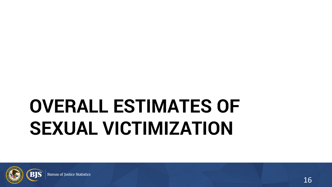## **OVERALL ESTIMATES OF SEXUAL VICTIMIZATION**

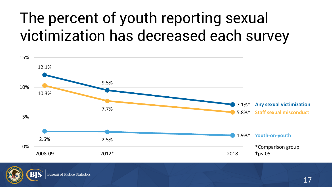#### The percent of youth reporting sexual victimization has decreased each survey



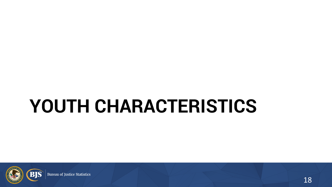### **YOUTH CHARACTERISTICS**



**Bureau of Justice Statistics**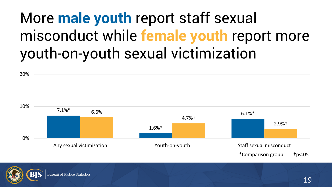#### More **male youth** report staff sexual misconduct while **female youth** report more youth-on-youth sexual victimization





20%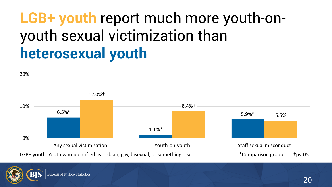#### **LGB+ youth** report much more youth-onyouth sexual victimization than **heterosexual youth**



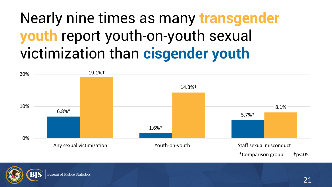#### Nearly nine times as many **transgender youth** report youth-on-youth sexual victimization than **cisgender youth**



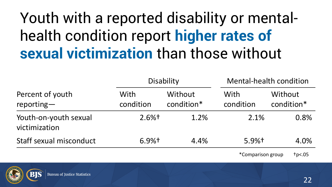#### Youth with a reported disability or mentalhealth condition report **higher rates of sexual victimization** than those without

| Percent of youth<br>$reporting -$      | Disability          |                       | <b>Mental-health condition</b> |                       |
|----------------------------------------|---------------------|-----------------------|--------------------------------|-----------------------|
|                                        | With<br>condition   | Without<br>condition* | With<br>condition              | Without<br>condition* |
| Youth-on-youth sexual<br>victimization | $2.6%$ <sup>†</sup> | 1.2%                  | 2.1%                           | 0.8%                  |
| Staff sexual misconduct                | $6.9%$ <sup>†</sup> | 4.4%                  | $5.9%$ <sup>†</sup>            | 4.0%                  |
|                                        |                     |                       | *Comparison group              | tp<.05                |

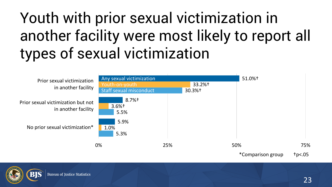#### Youth with prior sexual victimization in another facility were most likely to report all types of sexual victimization



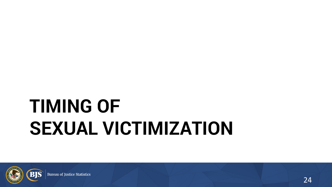## **TIMING OF SEXUAL VICTIMIZATION**

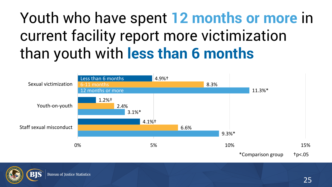#### Youth who have spent **12 months or more** in current facility report more victimization than youth with **less than 6 months**



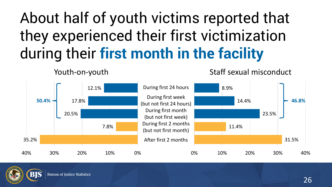#### About half of youth victims reported that they experienced their first victimization during their **first month in the facility**

31.5% 11.4% 23.5% 14.4% 8.9% 0% 10% 20% 30% 40% 35.2% 7.8% 20.5% 17.8% 12.1% 40% 30% 20% 10% 0% During first 24 hours During first week (but not first 24 hours) During first month (but not first week) During first 2 months (but not first month) After first 2 months  $50.4\%$  **46.8% 17.8% 17.8% 17.8% 18.9% 18.9% 14.4% 14.4% 14.4% 16.8%** 



Youth-on-youth

Staff sexual misconduct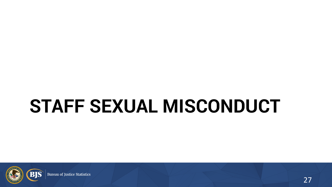### **STAFF SEXUAL MISCONDUCT**



**Bureau of Justice Statistics**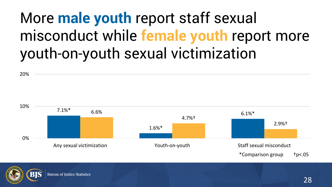#### More **male youth** report staff sexual misconduct while **female youth** report more youth-on-youth sexual victimization

7.1%\* 1.6%\*  $6.6\%$  6.1%\* 4.7%† 2.9%† 0% 10% Any sexual victimization The Staff sexual misconduct Nouth-on-youth Staff sexual misconduct \*Comparison group †p<.05



20%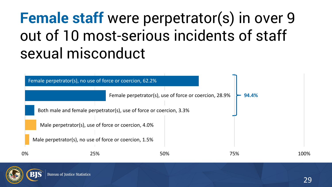#### **Female staff** were perpetrator(s) in over 9 out of 10 most-serious incidents of staff sexual misconduct



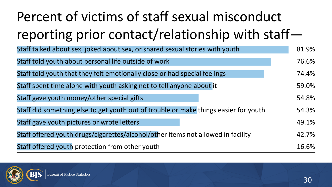#### Percent of victims of staff sexual misconduct reporting prior contact/relationship with staff—

| Staff talked about sex, joked about sex, or shared sexual stories with youth         | 81.9% |
|--------------------------------------------------------------------------------------|-------|
| Staff told youth about personal life outside of work                                 | 76.6% |
| Staff told youth that they felt emotionally close or had special feelings            | 74.4% |
| Staff spent time alone with youth asking not to tell anyone about it                 | 59.0% |
| Staff gave youth money/other special gifts                                           | 54.8% |
| Staff did something else to get youth out of trouble or make things easier for youth | 54.3% |
| Staff gave youth pictures or wrote letters                                           | 49.1% |
| Staff offered youth drugs/cigarettes/alcohol/other items not allowed in facility     | 42.7% |
| Staff offered youth protection from other youth                                      | 16.6% |

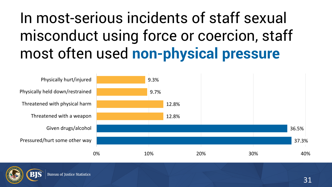#### In most-serious incidents of staff sexual misconduct using force or coercion, staff most often used **non-physical pressure**



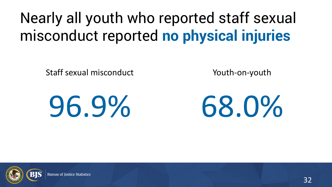#### Nearly all youth who reported staff sexual misconduct reported **no physical injuries**

Staff sexual misconduct

Youth-on-youth

# 96.9%



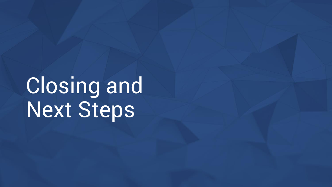Closing and Next Steps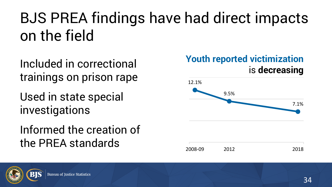#### BJS PREA findings have had direct impacts on the field

Included in correctional trainings on prison rape

Used in state special investigations

#### Informed the creation of the PREA standards



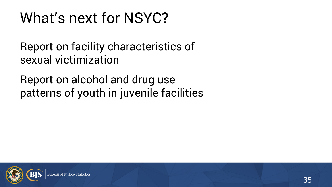#### What's next for NSYC?

Report on facility characteristics of sexual victimization

Report on alcohol and drug use patterns of youth in juvenile facilities

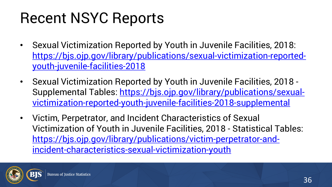#### Recent NSYC Reports

- Sexual Victimization Reported by Youth in Juvenile Facilities, 2018: [https://bjs.ojp.gov/library/publications/sexual-victimization-reported](https://bjs.ojp.gov/library/publications/sexual-victimization-reported-youth-juvenile-facilities-2018)youth-juvenile-facilities-2018
- Sexual Victimization Reported by Youth in Juvenile Facilities, 2018 [Supplemental Tables: https://bjs.ojp.gov/library/publications/sexual](https://bjs.ojp.gov/library/publications/sexual-victimization-reported-youth-juvenile-facilities-2018-supplemental)victimization-reported-youth-juvenile-facilities-2018-supplemental
- Victim, Perpetrator, and Incident Characteristics of Sexual Victimization of Youth in Juvenile Facilities, 2018 - Statistical Tables: [https://bjs.ojp.gov/library/publications/victim-perpetrator-and](https://bjs.ojp.gov/library/publications/victim-perpetrator-and-incident-characteristics-sexual-victimization-youth)incident-characteristics-sexual-victimization-youth